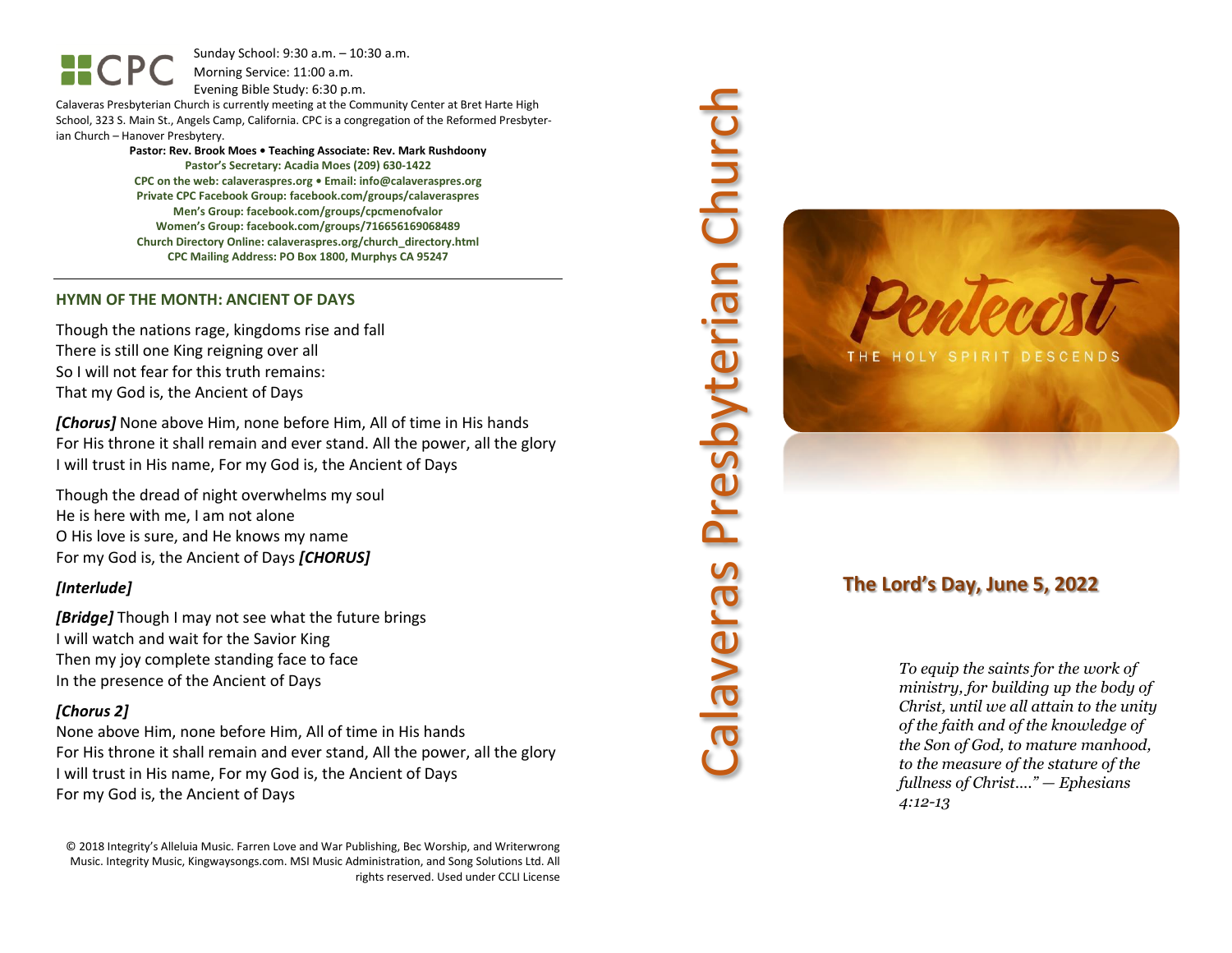Sunday School: 9: 3 0 a.m. – 10:30 a.m. Morning Service: 1 1 :00 a.m.

Evening Bible Study: 6: 30 p.m.

Calaveras Presbyterian Church is currently meeting at the Community Center at Bret Harte High School, 323 S. Main St., Angels Camp, California. CPC is a congregation of the Reformed Presbyterian Church – Hanover Presbytery.

> **Pastor: Rev. Brook Moes • Teaching Associate: Rev. Mark Rushdoony Pastor's Secretary: Acadia Moes (209) 630 -1422 CPC on the web: calaveraspres.org • Email: [info@calaveraspres.org](mailto:info@calaveraspres.org) Private CPC Facebook Group: facebook.com/groups/calaveraspres Men's Group: facebook.com/groups/cpcmenofvalor Women's Group: facebook.com/groups/716656169068489 Church Directory Online: calaveraspres.org/church \_directory.html CPC Mailing Address: PO Box 1800, Murphys CA 95247**

#### **HYMN OF THE MONTH : ANCIENT OF DAY S**

Though the nations rage, kingdoms rise and fall There is still one King reigning over all So I will not fear for this truth remains: That my God is, the Ancient of Days

*[Chorus]* None above Him, none before Him, All of time in His hands For His throne it shall remain and ever stand. All the power, all the glory I will trust in His name , For my God is, the Ancient of Days

Though the dread of night overwhelms my soul He is here with me, I am not alone O His love is sure, and He knows my name For my God is, the Ancient of Days *[CHORUS]*

### *[Interlude]*

*[Bridge]* Though I may not see what the future brings I will watch and wait for the Savior King Then my joy complete standing face to face In the presence of the Ancient of Days

### *[Chorus 2]*

None above Him, none before Him , All of time in His hands For His throne it shall remain and ever stand, All the power, all the glory I will trust in His name , For my God is, the Ancient of Days For my God is, the Ancient of Days

© 2018 Integrity's Alleluia Music. Farren Love and War Publishing, Bec Worship, and Writerwrong Music. Integrity Music, Kingwaysongs.com. MSI Music Administration, and Song Solutions Ltd. All rights reserved. Used under CCLI License

# Calaveras Presbyterian Church **Presbyterian Churcl** seuanere-



# **The Lord's Day, June 5, 202 2**

*To equip the saints for the work of ministry, for building up the body of Christ, until we all attain to the unity of the faith and of the knowledge of the Son of God, to mature manhood, to the measure of the stature of the fullness of Christ…." — Ephesians 4:12 -13*